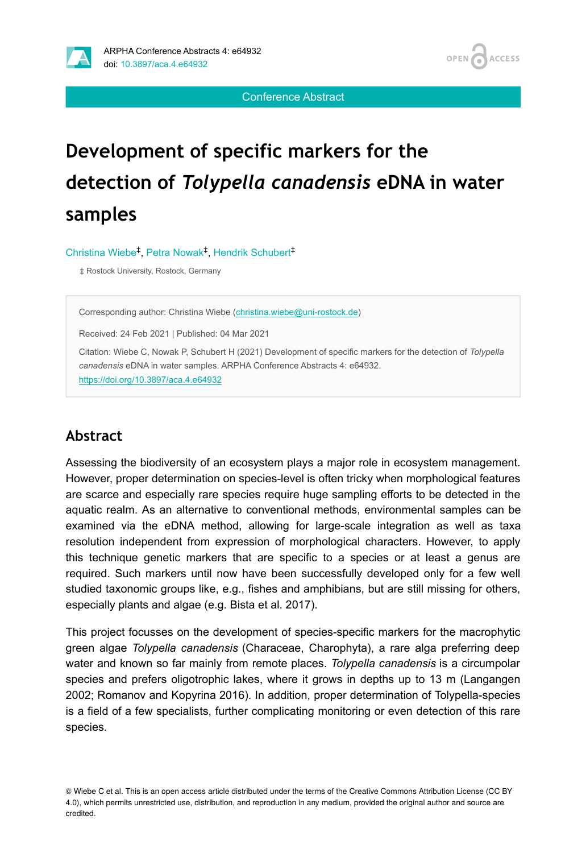

OPEN / **ACCESS** 

Conference Abstract

# **Development of specific markers for the detection of** *Tolypella canadensis* **eDNA in water samples**

Christina Wiebe<sup>‡</sup>, Petra Nowak<sup>‡</sup>, Hendrik Schubert<sup>‡</sup>

‡ Rostock University, Rostock, Germany

Corresponding author: Christina Wiebe [\(christina.wiebe@uni-rostock.de\)](mailto:christina.wiebe@uni-rostock.de)

Received: 24 Feb 2021 | Published: 04 Mar 2021

Citation: Wiebe C, Nowak P, Schubert H (2021) Development of specific markers for the detection of *Tolypella canadensis* eDNA in water samples. ARPHA Conference Abstracts 4: e64932. <https://doi.org/10.3897/aca.4.e64932>

#### **Abstract**

Assessing the biodiversity of an ecosystem plays a major role in ecosystem management. However, proper determination on species-level is often tricky when morphological features are scarce and especially rare species require huge sampling efforts to be detected in the aquatic realm. As an alternative to conventional methods, environmental samples can be examined via the eDNA method, allowing for large-scale integration as well as taxa resolution independent from expression of morphological characters. However, to apply this technique genetic markers that are specific to a species or at least a genus are required. Such markers until now have been successfully developed only for a few well studied taxonomic groups like, e.g., fishes and amphibians, but are still missing for others, especially plants and algae (e.g. Bista et al. 2017).

This project focusses on the development of species-specific markers for the macrophytic green algae *Tolypella canadensis* (Characeae, Charophyta), a rare alga preferring deep water and known so far mainly from remote places. *Tolypella canadensis* is a circumpolar species and prefers oligotrophic lakes, where it grows in depths up to 13 m (Langangen 2002; Romanov and Kopyrina 2016). In addition, proper determination of Tolypella-species is a field of a few specialists, further complicating monitoring or even detection of this rare species.

<sup>©</sup> Wiebe C et al. This is an open access article distributed under the terms of the Creative Commons Attribution License (CC BY 4.0), which permits unrestricted use, distribution, and reproduction in any medium, provided the original author and source are credited.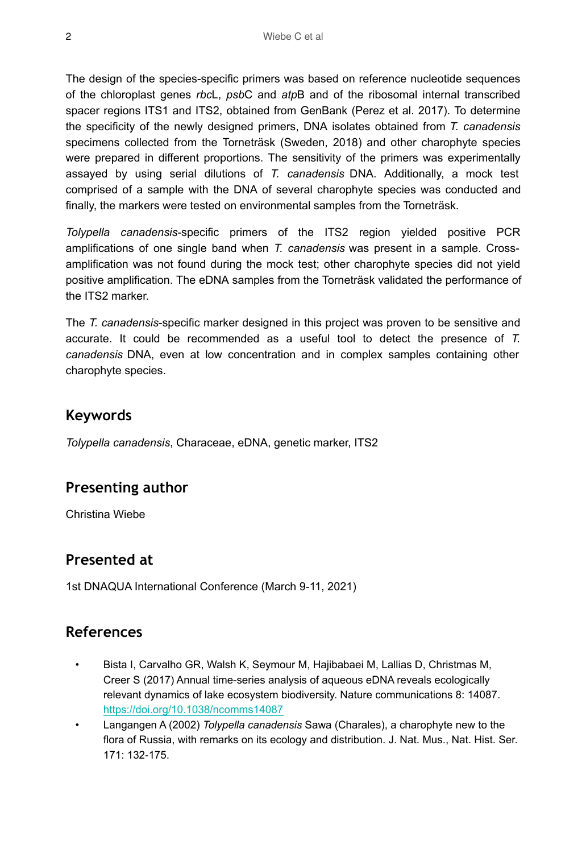The design of the species-specific primers was based on reference nucleotide sequences of the chloroplast genes *rbc*L, *psb*C and *atp*B and of the ribosomal internal transcribed spacer regions ITS1 and ITS2, obtained from GenBank (Perez et al. 2017). To determine the specificity of the newly designed primers, DNA isolates obtained from *T. canadensis* specimens collected from the Torneträsk (Sweden, 2018) and other charophyte species were prepared in different proportions. The sensitivity of the primers was experimentally assayed by using serial dilutions of *T. canadensis* DNA. Additionally, a mock test comprised of a sample with the DNA of several charophyte species was conducted and finally, the markers were tested on environmental samples from the Torneträsk.

*Tolypella canadensis*-specific primers of the ITS2 region yielded positive PCR amplifications of one single band when *T. canadensis* was present in a sample. Crossamplification was not found during the mock test; other charophyte species did not yield positive amplification. The eDNA samples from the Torneträsk validated the performance of the ITS2 marker.

The *T. canadensis*-specific marker designed in this project was proven to be sensitive and accurate. It could be recommended as a useful tool to detect the presence of *T. canadensis* DNA, even at low concentration and in complex samples containing other charophyte species.

### **Keywords**

*Tolypella canadensis*, Characeae, eDNA, genetic marker, ITS2

# **Presenting author**

Christina Wiebe

## **Presented at**

1st DNAQUA International Conference (March 9-11, 2021)

## **References**

- Bista I, Carvalho GR, Walsh K, Seymour M, Hajibabaei M, Lallias D, Christmas M, Creer S (2017) Annual time-series analysis of aqueous eDNA reveals ecologically relevant dynamics of lake ecosystem biodiversity. Nature communications 8: 14087. <https://doi.org/10.1038/ncomms14087>
- Langangen A (2002) *Tolypella canadensis* Sawa (Charales), a charophyte new to the flora of Russia, with remarks on its ecology and distribution. J. Nat. Mus., Nat. Hist. Ser. 171: 132‑175.